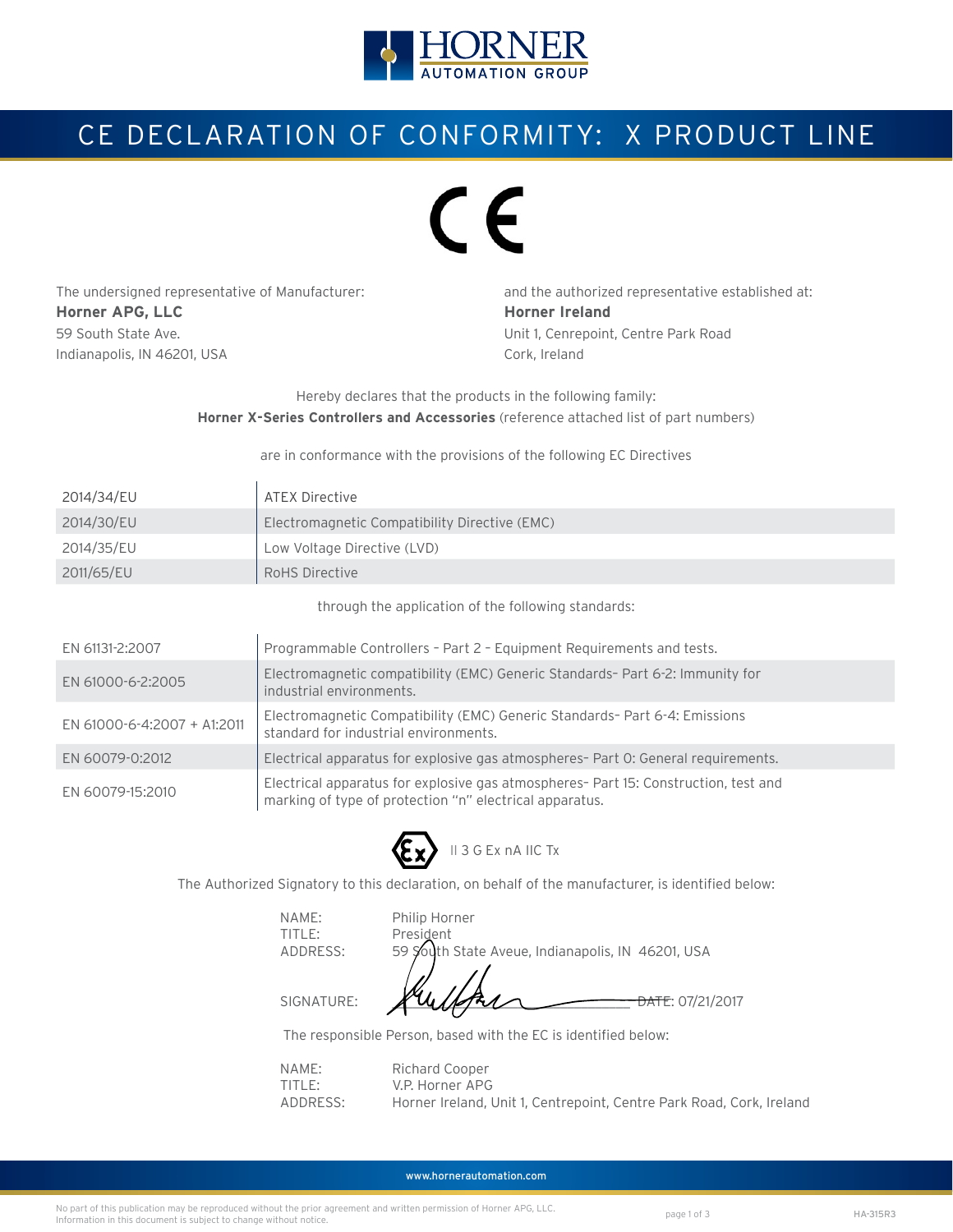

# CE DECLARATION OF CONFORMITY: X PRODUCT LINE

# $\epsilon$

The undersigned representative of Manufacturer: and the authorized representative established at: **Horner APG, LLC Horner Ireland** 59 South State Ave. Unit 1, Cenrepoint, Centre Park Road Indianapolis, IN 46201, USA Cork, Ireland

Hereby declares that the products in the following family: **Horner X-Series Controllers and Accessories** (reference attached list of part numbers)

#### are in conformance with the provisions of the following EC Directives

| 2014/34/EU | ATEX Directive                                |
|------------|-----------------------------------------------|
| 2014/30/EU | Electromagnetic Compatibility Directive (EMC) |
| 2014/35/EU | Low Voltage Directive (LVD)                   |
| 2011/65/EU | RoHS Directive                                |

through the application of the following standards:

| EN 61131-2:2007             | Programmable Controllers - Part 2 - Equipment Requirements and tests.                                                                          |  |  |
|-----------------------------|------------------------------------------------------------------------------------------------------------------------------------------------|--|--|
| EN 61000-6-2:2005           | Electromagnetic compatibility (EMC) Generic Standards- Part 6-2: Immunity for<br>industrial environments.                                      |  |  |
| EN 61000-6-4:2007 + A1:2011 | Electromagnetic Compatibility (EMC) Generic Standards- Part 6-4: Emissions<br>standard for industrial environments.                            |  |  |
| EN 60079-0:2012             | Electrical apparatus for explosive gas atmospheres- Part O: General requirements.                                                              |  |  |
| EN 60079-15:2010            | Electrical apparatus for explosive gas atmospheres- Part 15: Construction, test and<br>marking of type of protection "n" electrical apparatus. |  |  |



The Authorized Signatory to this declaration, on behalf of the manufacturer, is identified below:

TITLE: President

 NAME: Philip Horner ADDRESS: 59 South State Aveue, Indianapolis, IN 46201, USA

SIGNATURE:  $\frac{1}{4}$   $\frac{1}{4}$   $\frac{1}{4}$   $\frac{1}{4}$   $\frac{1}{4}$   $\frac{1}{4}$   $\frac{1}{4}$   $\frac{1}{4}$   $\frac{1}{4}$   $\frac{1}{4}$   $\frac{1}{4}$   $\frac{1}{4}$   $\frac{1}{4}$   $\frac{1}{4}$   $\frac{1}{4}$   $\frac{1}{4}$   $\frac{1}{4}$   $\frac{1}{4}$   $\frac{1}{4}$   $\frac{1}{4}$   $\frac{1}{4}$ 

The responsible Person, based with the EC is identified below:

| NAME:               | Richard Cooper                                                       |
|---------------------|----------------------------------------------------------------------|
| TITI F <sup>+</sup> | V.P. Horner APG                                                      |
| ADDRESS:            | Horner Ireland, Unit 1, Centrepoint, Centre Park Road, Cork, Ireland |

www.hornerautomation.com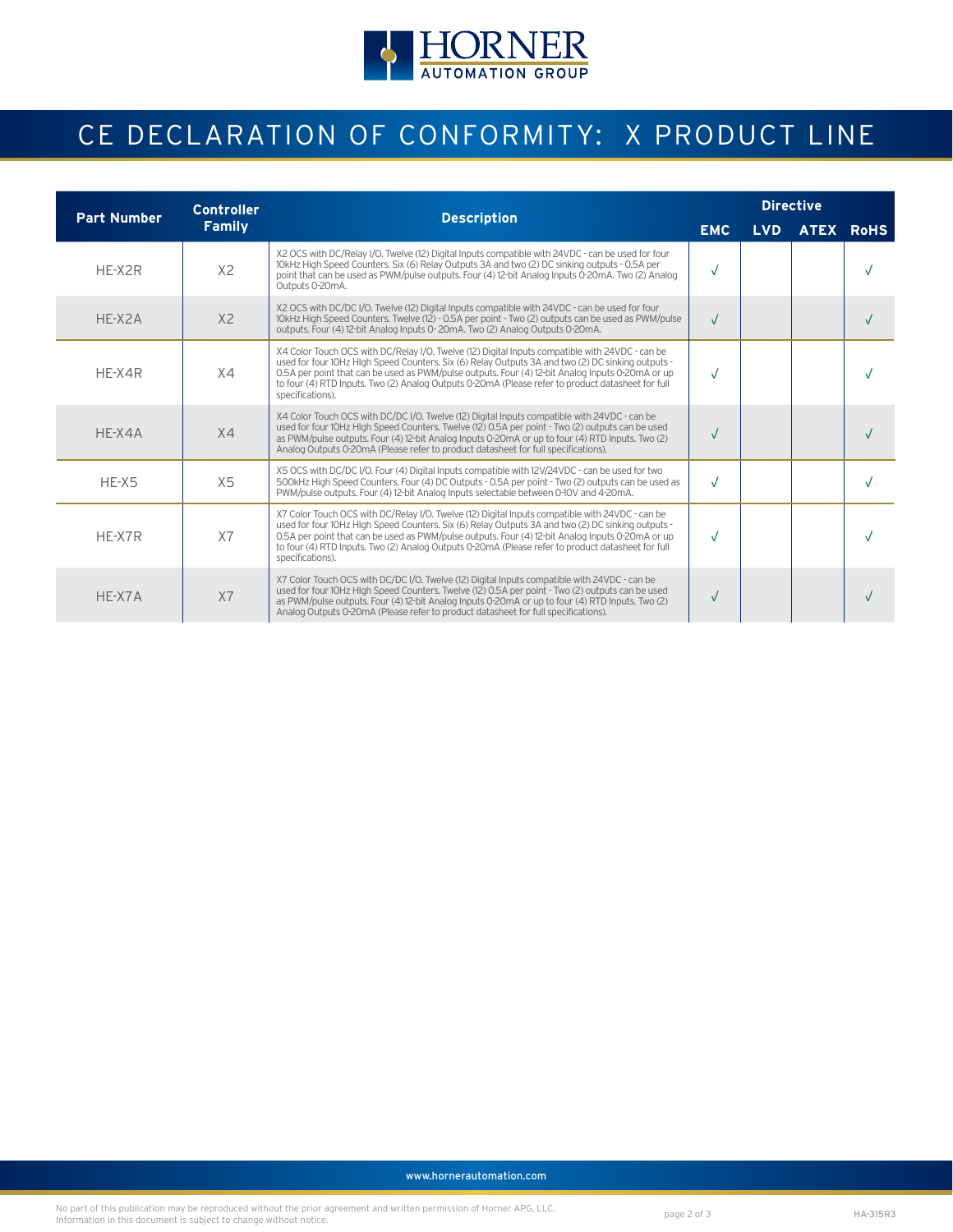

# CE DECLARATION OF CONFORMITY: X PRODUCT LINE

| <b>Part Number</b> | <b>Controller</b> | <b>Description</b>                                                                                                                                                                                                                                                                                                                                                                                                                | <b>Directive</b> |            |  |           |
|--------------------|-------------------|-----------------------------------------------------------------------------------------------------------------------------------------------------------------------------------------------------------------------------------------------------------------------------------------------------------------------------------------------------------------------------------------------------------------------------------|------------------|------------|--|-----------|
|                    | <b>Family</b>     |                                                                                                                                                                                                                                                                                                                                                                                                                                   |                  | <b>LVD</b> |  | ATEX RoHS |
| $HF-X2R$           | X <sub>2</sub>    | X2 OCS with DC/Relay I/O. Twelve (12) Digital Inputs compatible with 24VDC - can be used for four<br>10kHz High Speed Counters. Six (6) Relay Outputs 3A and two (2) DC sinking outputs - 0.5A per<br>point that can be used as PWM/pulse outputs. Four (4) 12-bit Analog Inputs 0-20mA. Two (2) Analog<br>Outputs 0-20mA.                                                                                                        | $\sqrt{}$        |            |  |           |
| HE-X2A             | X <sub>2</sub>    | X2 OCS with DC/DC I/O. Twelve (12) Digital Inputs compatible with 24VDC - can be used for four<br>10kHz High Speed Counters. Twelve (12) - 0.5A per point - Two (2) outputs can be used as PWM/pulse<br>outputs. Four (4) 12-bit Analog Inputs 0-20mA. Two (2) Analog Outputs 0-20mA.                                                                                                                                             | $\sqrt{ }$       |            |  |           |
| HE-X4R             | X4                | X4 Color Touch OCS with DC/Relay I/O. Twelve (12) Digital Inputs compatible with 24VDC - can be<br>used for four 10Hz HIgh Speed Counters. Six (6) Relay Outputs 3A and two (2) DC sinking outputs -<br>0.5A per point that can be used as PWM/pulse outputs. Four (4) 12-bit Analog Inputs 0-20mA or up<br>to four (4) RTD Inputs. Two (2) Analog Outputs 0-20mA (Please refer to product datasheet for full<br>specifications). | $\sqrt{2}$       |            |  |           |
| $HF-X4A$           | X4                | X4 Color Touch OCS with DC/DC I/O. Twelve (12) Digital Inputs compatible with 24VDC - can be<br>used for four 10Hz HIgh Speed Counters. Twelve (12) 0.5A per point - Two (2) outputs can be used<br>as PWM/pulse outputs. Four (4) 12-bit Analog Inputs 0-20mA or up to four (4) RTD Inputs. Two (2)<br>Analog Outputs 0-20mA (Please refer to product datasheet for full specifications).                                        | $\sqrt{}$        |            |  |           |
| HE-X5              | X5                | X5 OCS with DC/DC I/O. Four (4) Digital Inputs compatible with 12V/24VDC - can be used for two<br>500kHz High Speed Counters. Four (4) DC Outputs - 0.5A per point - Two (2) outputs can be used as<br>PWM/pulse outputs. Four (4) 12-bit Analog Inputs selectable between 0-10V and 4-20mA.                                                                                                                                      | $\sqrt{ }$       |            |  |           |
| HF-X7R             | X7                | X7 Color Touch OCS with DC/Relay I/O. Twelve (12) Digital Inputs compatible with 24VDC - can be<br>used for four 10Hz HIgh Speed Counters. Six (6) Relay Outputs 3A and two (2) DC sinking outputs -<br>0.5A per point that can be used as PWM/pulse outputs. Four (4) 12-bit Analog Inputs 0-20mA or up<br>to four (4) RTD Inputs. Two (2) Analog Outputs 0-20mA (Please refer to product datasheet for full<br>specifications). | $\sqrt{2}$       |            |  |           |
| $HF-X7A$           | X7                | X7 Color Touch OCS with DC/DC I/O. Twelve (12) Digital Inputs compatible with 24VDC - can be<br>used for four 10Hz HIgh Speed Counters. Twelve (12) 0.5A per point - Two (2) outputs can be used<br>as PWM/pulse outputs. Four (4) 12-bit Analog Inputs 0-20mA or up to four (4) RTD Inputs. Two (2)<br>Analog Outputs 0-20mA (Please refer to product datasheet for full specifications).                                        | $\sqrt{}$        |            |  |           |

www.hornerautomation.com